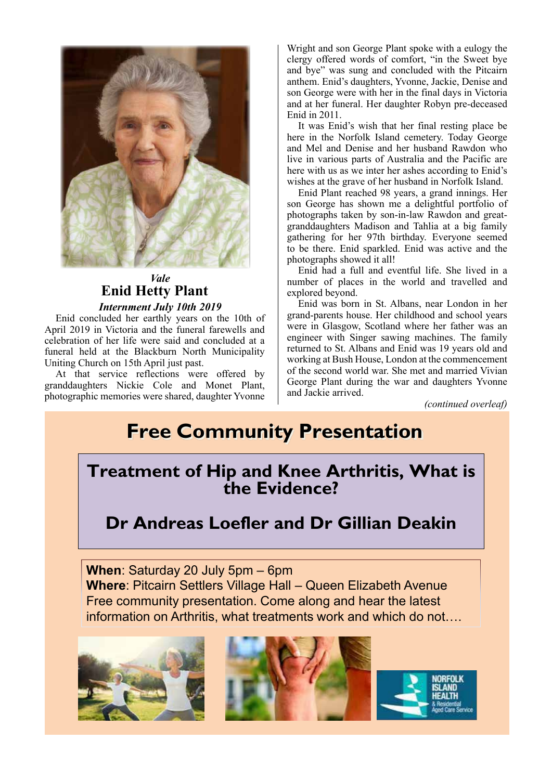

#### *Vale* **Enid Hetty Plant** *Internment July 10th 2019*

Enid concluded her earthly years on the 10th of April 2019 in Victoria and the funeral farewells and celebration of her life were said and concluded at a funeral held at the Blackburn North Municipality Uniting Church on 15th April just past.

At that service reflections were offered by granddaughters Nickie Cole and Monet Plant, photographic memories were shared, daughter Yvonne Wright and son George Plant spoke with a eulogy the clergy offered words of comfort, "in the Sweet bye and bye" was sung and concluded with the Pitcairn anthem. Enid's daughters, Yvonne, Jackie, Denise and son George were with her in the final days in Victoria and at her funeral. Her daughter Robyn pre-deceased Enid in 2011.

It was Enid's wish that her final resting place be here in the Norfolk Island cemetery. Today George and Mel and Denise and her husband Rawdon who live in various parts of Australia and the Pacific are here with us as we inter her ashes according to Enid's wishes at the grave of her husband in Norfolk Island.

Enid Plant reached 98 years, a grand innings. Her son George has shown me a delightful portfolio of photographs taken by son-in-law Rawdon and greatgranddaughters Madison and Tahlia at a big family gathering for her 97th birthday. Everyone seemed to be there. Enid sparkled. Enid was active and the photographs showed it all!

Enid had a full and eventful life. She lived in a number of places in the world and travelled and explored beyond.

Enid was born in St. Albans, near London in her grand-parents house. Her childhood and school years were in Glasgow, Scotland where her father was an engineer with Singer sawing machines. The family returned to St. Albans and Enid was 19 years old and working at Bush House, London at the commencement of the second world war. She met and married Vivian George Plant during the war and daughters Yvonne and Jackie arrived.

*(continued overleaf)*

# **Free Community Presentation**

### **Treatment of Hip and Knee Arthritis, What is the Evidence?**

## **Dr Andreas Loefler and Dr Gillian Deakin**

**When**: Saturday 20 July 5pm – 6pm **Where**: Pitcairn Settlers Village Hall – Queen Elizabeth Avenue Free community presentation. Come along and hear the latest information on Arthritis, what treatments work and which do not….